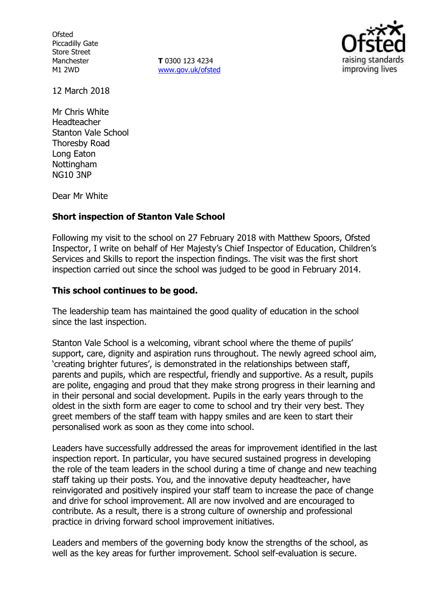**Ofsted** Piccadilly Gate Store Street Manchester M1 2WD

**T** 0300 123 4234 www.gov.uk/ofsted



12 March 2018

Mr Chris White Headteacher Stanton Vale School Thoresby Road Long Eaton **Nottingham** NG10 3NP

Dear Mr White

# **Short inspection of Stanton Vale School**

Following my visit to the school on 27 February 2018 with Matthew Spoors, Ofsted Inspector, I write on behalf of Her Majesty's Chief Inspector of Education, Children's Services and Skills to report the inspection findings. The visit was the first short inspection carried out since the school was judged to be good in February 2014.

## **This school continues to be good.**

The leadership team has maintained the good quality of education in the school since the last inspection.

Stanton Vale School is a welcoming, vibrant school where the theme of pupils' support, care, dignity and aspiration runs throughout. The newly agreed school aim, 'creating brighter futures', is demonstrated in the relationships between staff, parents and pupils, which are respectful, friendly and supportive. As a result, pupils are polite, engaging and proud that they make strong progress in their learning and in their personal and social development. Pupils in the early years through to the oldest in the sixth form are eager to come to school and try their very best. They greet members of the staff team with happy smiles and are keen to start their personalised work as soon as they come into school.

Leaders have successfully addressed the areas for improvement identified in the last inspection report. In particular, you have secured sustained progress in developing the role of the team leaders in the school during a time of change and new teaching staff taking up their posts. You, and the innovative deputy headteacher, have reinvigorated and positively inspired your staff team to increase the pace of change and drive for school improvement. All are now involved and are encouraged to contribute. As a result, there is a strong culture of ownership and professional practice in driving forward school improvement initiatives.

Leaders and members of the governing body know the strengths of the school, as well as the key areas for further improvement. School self-evaluation is secure.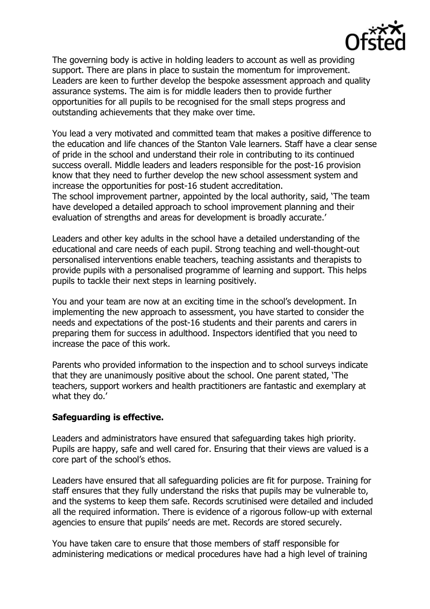

The governing body is active in holding leaders to account as well as providing support. There are plans in place to sustain the momentum for improvement. Leaders are keen to further develop the bespoke assessment approach and quality assurance systems. The aim is for middle leaders then to provide further opportunities for all pupils to be recognised for the small steps progress and outstanding achievements that they make over time.

You lead a very motivated and committed team that makes a positive difference to the education and life chances of the Stanton Vale learners. Staff have a clear sense of pride in the school and understand their role in contributing to its continued success overall. Middle leaders and leaders responsible for the post-16 provision know that they need to further develop the new school assessment system and increase the opportunities for post-16 student accreditation.

The school improvement partner, appointed by the local authority, said, 'The team have developed a detailed approach to school improvement planning and their evaluation of strengths and areas for development is broadly accurate.'

Leaders and other key adults in the school have a detailed understanding of the educational and care needs of each pupil. Strong teaching and well-thought-out personalised interventions enable teachers, teaching assistants and therapists to provide pupils with a personalised programme of learning and support. This helps pupils to tackle their next steps in learning positively.

You and your team are now at an exciting time in the school's development. In implementing the new approach to assessment, you have started to consider the needs and expectations of the post-16 students and their parents and carers in preparing them for success in adulthood. Inspectors identified that you need to increase the pace of this work.

Parents who provided information to the inspection and to school surveys indicate that they are unanimously positive about the school. One parent stated, 'The teachers, support workers and health practitioners are fantastic and exemplary at what they do.'

## **Safeguarding is effective.**

Leaders and administrators have ensured that safeguarding takes high priority. Pupils are happy, safe and well cared for. Ensuring that their views are valued is a core part of the school's ethos.

Leaders have ensured that all safeguarding policies are fit for purpose. Training for staff ensures that they fully understand the risks that pupils may be vulnerable to, and the systems to keep them safe. Records scrutinised were detailed and included all the required information. There is evidence of a rigorous follow-up with external agencies to ensure that pupils' needs are met. Records are stored securely.

You have taken care to ensure that those members of staff responsible for administering medications or medical procedures have had a high level of training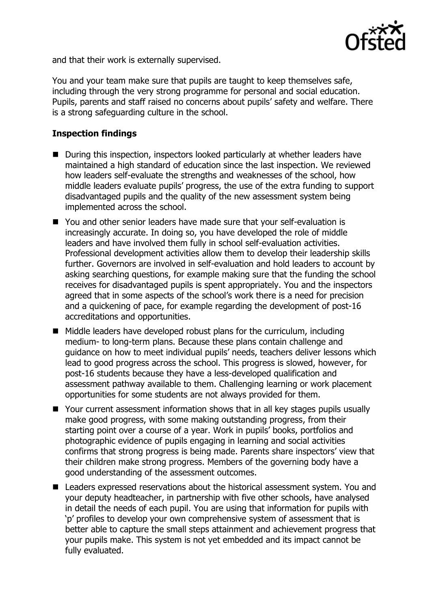

and that their work is externally supervised.

You and your team make sure that pupils are taught to keep themselves safe, including through the very strong programme for personal and social education. Pupils, parents and staff raised no concerns about pupils' safety and welfare. There is a strong safeguarding culture in the school.

# **Inspection findings**

- During this inspection, inspectors looked particularly at whether leaders have maintained a high standard of education since the last inspection. We reviewed how leaders self-evaluate the strengths and weaknesses of the school, how middle leaders evaluate pupils' progress, the use of the extra funding to support disadvantaged pupils and the quality of the new assessment system being implemented across the school.
- You and other senior leaders have made sure that your self-evaluation is increasingly accurate. In doing so, you have developed the role of middle leaders and have involved them fully in school self-evaluation activities. Professional development activities allow them to develop their leadership skills further. Governors are involved in self-evaluation and hold leaders to account by asking searching questions, for example making sure that the funding the school receives for disadvantaged pupils is spent appropriately. You and the inspectors agreed that in some aspects of the school's work there is a need for precision and a quickening of pace, for example regarding the development of post-16 accreditations and opportunities.
- $\blacksquare$  Middle leaders have developed robust plans for the curriculum, including medium- to long-term plans. Because these plans contain challenge and guidance on how to meet individual pupils' needs, teachers deliver lessons which lead to good progress across the school. This progress is slowed, however, for post-16 students because they have a less-developed qualification and assessment pathway available to them. Challenging learning or work placement opportunities for some students are not always provided for them.
- Your current assessment information shows that in all key stages pupils usually make good progress, with some making outstanding progress, from their starting point over a course of a year. Work in pupils' books, portfolios and photographic evidence of pupils engaging in learning and social activities confirms that strong progress is being made. Parents share inspectors' view that their children make strong progress. Members of the governing body have a good understanding of the assessment outcomes.
- Leaders expressed reservations about the historical assessment system. You and your deputy headteacher, in partnership with five other schools, have analysed in detail the needs of each pupil. You are using that information for pupils with 'p' profiles to develop your own comprehensive system of assessment that is better able to capture the small steps attainment and achievement progress that your pupils make. This system is not yet embedded and its impact cannot be fully evaluated.